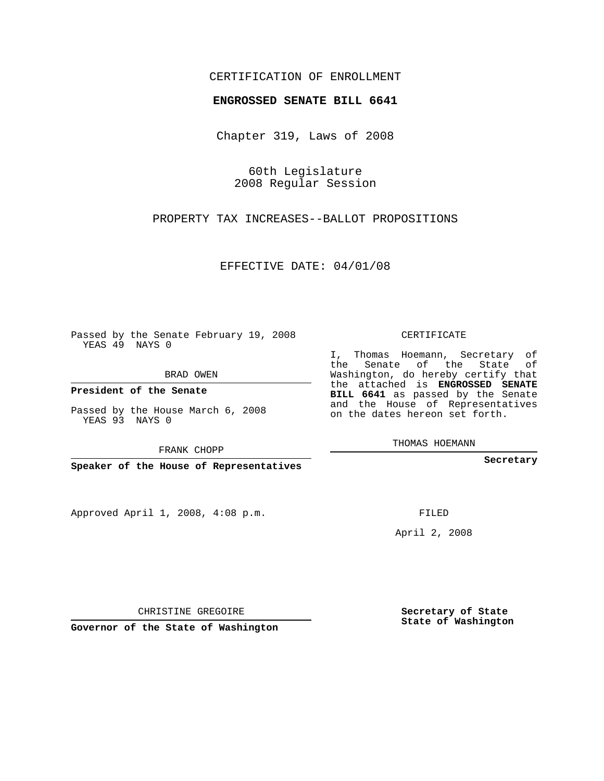## CERTIFICATION OF ENROLLMENT

## **ENGROSSED SENATE BILL 6641**

Chapter 319, Laws of 2008

60th Legislature 2008 Regular Session

PROPERTY TAX INCREASES--BALLOT PROPOSITIONS

EFFECTIVE DATE: 04/01/08

Passed by the Senate February 19, 2008 YEAS 49 NAYS 0

BRAD OWEN

**President of the Senate**

Passed by the House March 6, 2008 YEAS 93 NAYS 0

FRANK CHOPP

**Speaker of the House of Representatives**

Approved April 1, 2008, 4:08 p.m.

CERTIFICATE

I, Thomas Hoemann, Secretary of the Senate of the State of Washington, do hereby certify that the attached is **ENGROSSED SENATE BILL 6641** as passed by the Senate and the House of Representatives on the dates hereon set forth.

THOMAS HOEMANN

**Secretary**

FILED

April 2, 2008

**Secretary of State State of Washington**

CHRISTINE GREGOIRE

**Governor of the State of Washington**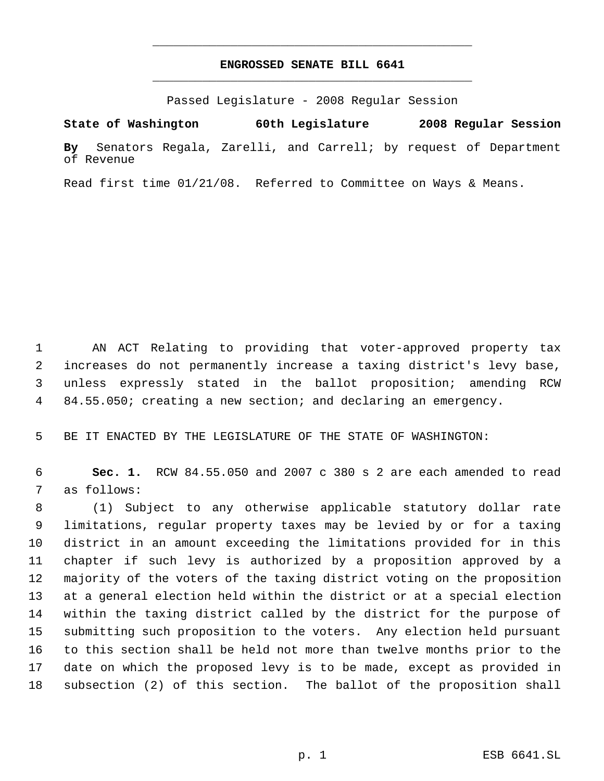## **ENGROSSED SENATE BILL 6641** \_\_\_\_\_\_\_\_\_\_\_\_\_\_\_\_\_\_\_\_\_\_\_\_\_\_\_\_\_\_\_\_\_\_\_\_\_\_\_\_\_\_\_\_\_

\_\_\_\_\_\_\_\_\_\_\_\_\_\_\_\_\_\_\_\_\_\_\_\_\_\_\_\_\_\_\_\_\_\_\_\_\_\_\_\_\_\_\_\_\_

Passed Legislature - 2008 Regular Session

**State of Washington 60th Legislature 2008 Regular Session By** Senators Regala, Zarelli, and Carrell; by request of Department of Revenue

Read first time 01/21/08. Referred to Committee on Ways & Means.

 AN ACT Relating to providing that voter-approved property tax increases do not permanently increase a taxing district's levy base, unless expressly stated in the ballot proposition; amending RCW 84.55.050; creating a new section; and declaring an emergency.

BE IT ENACTED BY THE LEGISLATURE OF THE STATE OF WASHINGTON:

 **Sec. 1.** RCW 84.55.050 and 2007 c 380 s 2 are each amended to read as follows:

 (1) Subject to any otherwise applicable statutory dollar rate limitations, regular property taxes may be levied by or for a taxing district in an amount exceeding the limitations provided for in this chapter if such levy is authorized by a proposition approved by a majority of the voters of the taxing district voting on the proposition at a general election held within the district or at a special election within the taxing district called by the district for the purpose of submitting such proposition to the voters. Any election held pursuant to this section shall be held not more than twelve months prior to the date on which the proposed levy is to be made, except as provided in subsection (2) of this section. The ballot of the proposition shall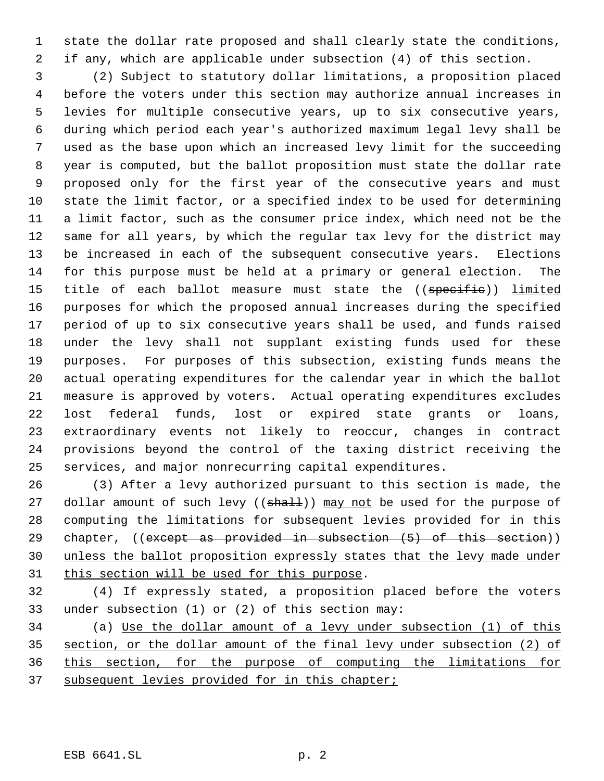state the dollar rate proposed and shall clearly state the conditions, if any, which are applicable under subsection (4) of this section.

 (2) Subject to statutory dollar limitations, a proposition placed before the voters under this section may authorize annual increases in levies for multiple consecutive years, up to six consecutive years, during which period each year's authorized maximum legal levy shall be used as the base upon which an increased levy limit for the succeeding year is computed, but the ballot proposition must state the dollar rate proposed only for the first year of the consecutive years and must state the limit factor, or a specified index to be used for determining a limit factor, such as the consumer price index, which need not be the same for all years, by which the regular tax levy for the district may be increased in each of the subsequent consecutive years. Elections for this purpose must be held at a primary or general election. The 15 title of each ballot measure must state the ((specific)) limited purposes for which the proposed annual increases during the specified period of up to six consecutive years shall be used, and funds raised under the levy shall not supplant existing funds used for these purposes. For purposes of this subsection, existing funds means the actual operating expenditures for the calendar year in which the ballot measure is approved by voters. Actual operating expenditures excludes lost federal funds, lost or expired state grants or loans, extraordinary events not likely to reoccur, changes in contract provisions beyond the control of the taxing district receiving the services, and major nonrecurring capital expenditures.

 (3) After a levy authorized pursuant to this section is made, the 27 dollar amount of such levy ((shall)) may not be used for the purpose of computing the limitations for subsequent levies provided for in this 29 chapter, ((except as provided in subsection (5) of this section)) unless the ballot proposition expressly states that the levy made under 31 this section will be used for this purpose.

 (4) If expressly stated, a proposition placed before the voters under subsection (1) or (2) of this section may:

 (a) Use the dollar amount of a levy under subsection (1) of this section, or the dollar amount of the final levy under subsection (2) of this section, for the purpose of computing the limitations for 37 subsequent levies provided for in this chapter;